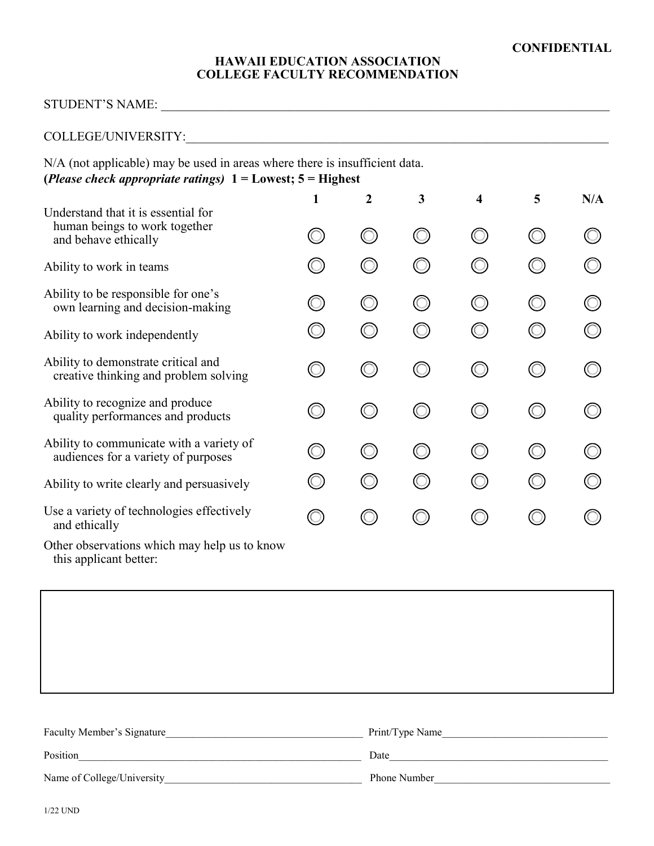#### **HAWAII EDUCATION ASSOCIATION COLLEGE FACULTY RECOMMENDATION**

## STUDENT'S NAME: \_\_\_\_\_\_\_\_\_\_\_\_\_\_\_\_\_\_\_\_\_\_\_\_\_\_\_\_\_\_\_\_\_\_\_\_\_\_\_\_\_\_\_\_\_\_\_\_\_\_\_\_\_\_\_\_\_\_\_\_\_\_\_\_\_\_\_\_\_\_

# COLLEGE/UNIVERSITY:\_\_\_\_\_\_\_\_\_\_\_\_\_\_\_\_\_\_\_\_\_\_\_\_\_\_\_\_\_\_\_\_\_\_\_\_\_\_\_\_\_\_\_\_\_\_\_\_\_\_\_\_\_\_\_\_\_\_\_\_\_\_\_\_\_\_

N/A (not applicable) may be used in areas where there is insufficient data. **(***Please check appropriate ratings)* **1 = Lowest; 5 = Highest**

| Understand that it is essential for                                             | 1          | $\overline{2}$ | 3                   | 4                   | 5 | N/A |
|---------------------------------------------------------------------------------|------------|----------------|---------------------|---------------------|---|-----|
| human beings to work together<br>and behave ethically                           |            |                | $\circlearrowright$ | $\circledcirc$      |   |     |
| Ability to work in teams                                                        |            |                |                     |                     |   |     |
| Ability to be responsible for one's<br>own learning and decision-making         | $\bigcirc$ | $(\ )$         | $\circlearrowright$ | $\circledcirc$      |   |     |
| Ability to work independently                                                   |            |                |                     |                     |   |     |
| Ability to demonstrate critical and<br>creative thinking and problem solving    |            |                | ⊙                   |                     |   |     |
| Ability to recognize and produce<br>quality performances and products           |            |                | 0                   | ⊙                   |   |     |
| Ability to communicate with a variety of<br>audiences for a variety of purposes |            |                | ∩                   | O)                  |   |     |
| Ability to write clearly and persuasively                                       | $\bigcirc$ |                | $\bigcirc$          | $\circlearrowright$ |   |     |
| Use a variety of technologies effectively<br>and ethically                      | $\bigcirc$ |                |                     |                     |   |     |
| Other observations which may help us to know<br>this applicant better:          |            |                |                     |                     |   |     |

| Faculty Member's Signature | Print/Type Name     |
|----------------------------|---------------------|
| Position                   | Date                |
| Name of College/University | <b>Phone Number</b> |